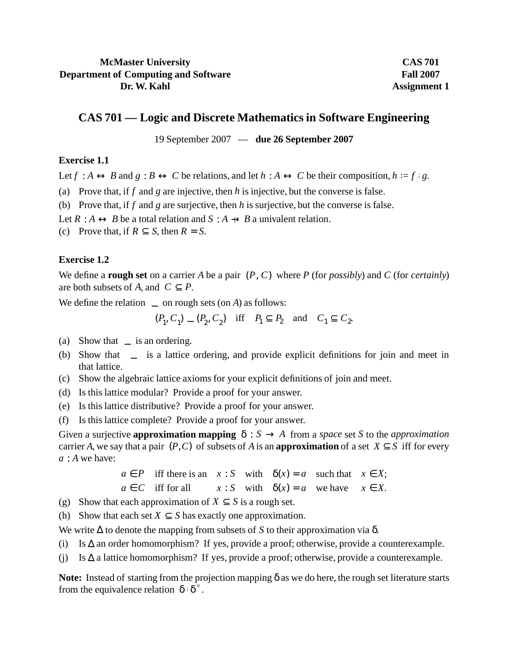## **McMaster University Department of Computing and Software Dr. W. Kahl**

**CAS 701 Fall 2007 Assignment 1**

# **CAS 701 — Logic and Discrete Mathematics in Software Engineering**

19 September 2007 — **due 26 September 2007**

#### **Exercise 1.1**

Let  $f : A \leftrightarrow B$  and  $g : B \leftrightarrow C$  be relations, and let  $h : A \leftrightarrow C$  be their composition,  $h := f : g$ .

(a) Prove that, if *f* and *g* are injective, then *h* is injective, but the converse is false.

(b) Prove that, if *f* and *g* are surjective, then *h* is surjective, but the converse is false.

Let  $R : A \leftrightarrow B$  be a total relation and  $S : A \rightarrow B$  a univalent relation.

(c) Prove that, if  $R \subseteq S$ , then  $R = S$ .

### **Exercise 1.2**

We define a **rough set** on a carrier *A* be a pair (*P*, *C*) where *P* (for *possibly*) and *C* (for *certainly*) are both subsets of *A*, and  $C \subseteq P$ .

We define the relation  $\leq$  on rough sets (on *A*) as follows:

$$
(P_1, C_1) \le (P_2, C_2)
$$
 iff  $P_1 \subseteq P_2$  and  $C_1 \subseteq C_2$ .

- (a) Show that  $\leq$  is an ordering.
- (b) Show that  $\leq$  is a lattice ordering, and provide explicit definitions for join and meet in that lattice.
- (c) Show the algebraic lattice axioms for your explicit definitions of join and meet.
- (d) Is this lattice modular? Provide a proof for your answer.
- (e) Is this lattice distributive? Provide a proof for your answer.
- (f) Is this lattice complete? Provide a proof for your answer.

Given a surjective **approximation mapping**  $\delta : S \to A$  from a *space* set *S* to the *approximation* carrier *A*, we say that a pair  $(P, C)$  of subsets of *A* is an **approximation** of a set  $X \subseteq S$  iff for every *a* : *A* we have:

> $a \in P$  iff there is an  $x : S$  with  $\delta(x) = a$  such that  $x \in X$ ;  $a \in C$  iff for all  $x : S$  with  $\delta(x) = a$  we have  $x \in X$ .

- (g) Show that each approximation of  $X \subseteq S$  is a rough set.
- (h) Show that each set  $X \subseteq S$  has exactly one approximation.

We write ∆ to denote the mapping from subsets of *S* to their approximation via δ.

- (i) Is ∆ an order homomorphism? If yes, provide a proof; otherwise, provide a counterexample.
- (j) Is ∆ a lattice homomorphism? If yes, provide a proof; otherwise, provide a counterexample.

**Note:** Instead of starting from the projection mapping δ as we do here, the rough set literature starts from the equivalence relation  $\delta$ :  $\delta^{\circ}$ .